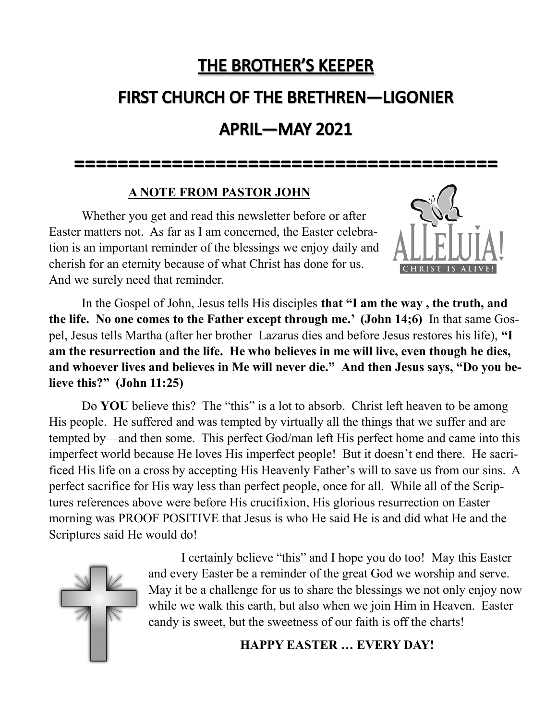# **THE BROTHER'S KEEPER**

# **FIRST CHURCH OF THE BRETHREN-LIGONIER**

# **APRIL-MAY 2021**

#### **A NOTE FROM PASTOR JOHN**

Whether you get and read this newsletter before or after Easter matters not. As far as I am concerned, the Easter celebration is an important reminder of the blessings we enjoy daily and cherish for an eternity because of what Christ has done for us. And we surely need that reminder.



In the Gospel of John, Jesus tells His disciples **that "I am the way , the truth, and the life. No one comes to the Father except through me.' (John 14;6)** In that same Gospel, Jesus tells Martha (after her brother Lazarus dies and before Jesus restores his life), **"I am the resurrection and the life. He who believes in me will live, even though he dies, and whoever lives and believes in Me will never die." And then Jesus says, "Do you believe this?" (John 11:25)**

Do **YOU** believe this? The "this" is a lot to absorb. Christ left heaven to be among His people. He suffered and was tempted by virtually all the things that we suffer and are tempted by—and then some. This perfect God/man left His perfect home and came into this imperfect world because He loves His imperfect people! But it doesn't end there. He sacrificed His life on a cross by accepting His Heavenly Father's will to save us from our sins. A perfect sacrifice for His way less than perfect people, once for all. While all of the Scriptures references above were before His crucifixion, His glorious resurrection on Easter morning was PROOF POSITIVE that Jesus is who He said He is and did what He and the Scriptures said He would do!



I certainly believe "this" and I hope you do too! May this Easter and every Easter be a reminder of the great God we worship and serve. May it be a challenge for us to share the blessings we not only enjoy now while we walk this earth, but also when we join Him in Heaven. Easter candy is sweet, but the sweetness of our faith is off the charts!

**HAPPY EASTER … EVERY DAY!**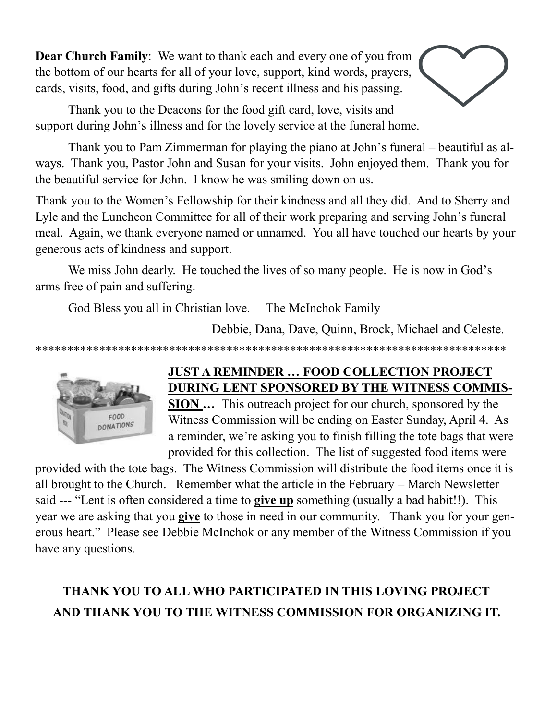**Dear Church Family**: We want to thank each and every one of you from the bottom of our hearts for all of your love, support, kind words, prayers, cards, visits, food, and gifts during John's recent illness and his passing.



Thank you to the Deacons for the food gift card, love, visits and support during John's illness and for the lovely service at the funeral home.

Thank you to Pam Zimmerman for playing the piano at John's funeral – beautiful as always. Thank you, Pastor John and Susan for your visits. John enjoyed them. Thank you for the beautiful service for John. I know he was smiling down on us.

Thank you to the Women's Fellowship for their kindness and all they did. And to Sherry and Lyle and the Luncheon Committee for all of their work preparing and serving John's funeral meal. Again, we thank everyone named or unnamed. You all have touched our hearts by your generous acts of kindness and support.

We miss John dearly. He touched the lives of so many people. He is now in God's arms free of pain and suffering.

God Bless you all in Christian love. The McInchok Family

Debbie, Dana, Dave, Quinn, Brock, Michael and Celeste.

\*\*\*\*\*\*\*\*\*\*\*\*\*\*\*\*\*\*\*\*\*\*\*\*\*\*\*\*\*\*\*\*\*\*\*\*\*\*\*\*\*\*\*\*\*\*\*\*\*\*\*\*\*\*\*\*\*\*\*\*\*\*\*\*\*\*\*\*\*\*\*\*\*\*



### **JUST A REMINDER … FOOD COLLECTION PROJECT DURING LENT SPONSORED BY THE WITNESS COMMIS-**

**SION …** This outreach project for our church, sponsored by the Witness Commission will be ending on Easter Sunday, April 4. As a reminder, we're asking you to finish filling the tote bags that were provided for this collection. The list of suggested food items were

provided with the tote bags. The Witness Commission will distribute the food items once it is all brought to the Church. Remember what the article in the February – March Newsletter said --- "Lent is often considered a time to **give up** something (usually a bad habit!!). This year we are asking that you **give** to those in need in our community. Thank you for your generous heart." Please see Debbie McInchok or any member of the Witness Commission if you have any questions.

# **THANK YOU TO ALL WHO PARTICIPATED IN THIS LOVING PROJECT AND THANK YOU TO THE WITNESS COMMISSION FOR ORGANIZING IT.**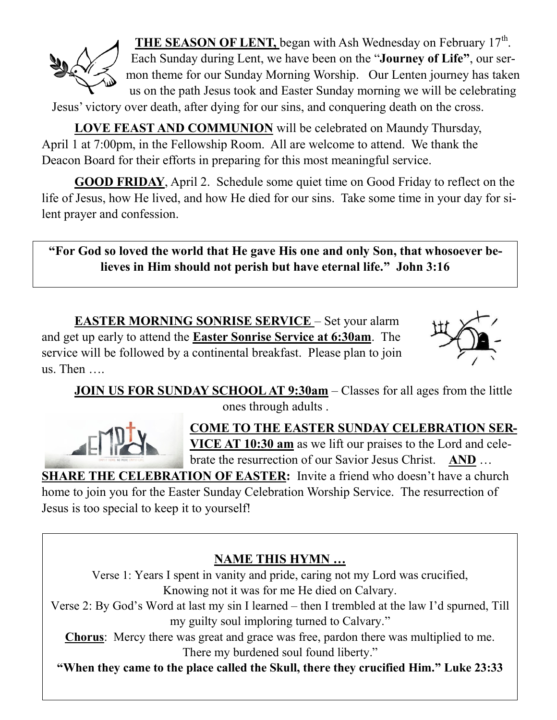

THE SEASON OF LENT, began with Ash Wednesday on February 17<sup>th</sup>. Each Sunday during Lent, we have been on the "**Journey of Life"**, our sermon theme for our Sunday Morning Worship. Our Lenten journey has taken us on the path Jesus took and Easter Sunday morning we will be celebrating

Jesus' victory over death, after dying for our sins, and conquering death on the cross.

**LOVE FEAST AND COMMUNION** will be celebrated on Maundy Thursday, April 1 at 7:00pm, in the Fellowship Room. All are welcome to attend. We thank the Deacon Board for their efforts in preparing for this most meaningful service.

**GOOD FRIDAY**, April 2. Schedule some quiet time on Good Friday to reflect on the life of Jesus, how He lived, and how He died for our sins. Take some time in your day for silent prayer and confession.

**"For God so loved the world that He gave His one and only Son, that whosoever believes in Him should not perish but have eternal life." John 3:16**

**EASTER MORNING SONRISE SERVICE** – Set your alarm and get up early to attend the **Easter Sonrise Service at 6:30am**. The service will be followed by a continental breakfast. Please plan to join us. Then ….



**JOIN US FOR SUNDAY SCHOOL AT 9:30am** – Classes for all ages from the little ones through adults .



**COME TO THE EASTER SUNDAY CELEBRATION SER-VICE AT 10:30 am** as we lift our praises to the Lord and celebrate the resurrection of our Savior Jesus Christ. **AND** …

**SHARE THE CELEBRATION OF EASTER:** Invite a friend who doesn't have a church

home to join you for the Easter Sunday Celebration Worship Service. The resurrection of Jesus is too special to keep it to yourself!

### **NAME THIS HYMN …**

Verse 1: Years I spent in vanity and pride, caring not my Lord was crucified, Knowing not it was for me He died on Calvary.

Verse 2: By God's Word at last my sin I learned – then I trembled at the law I'd spurned, Till my guilty soul imploring turned to Calvary."

**Chorus**: Mercy there was great and grace was free, pardon there was multiplied to me. There my burdened soul found liberty."

**"When they came to the place called the Skull, there they crucified Him." Luke 23:33**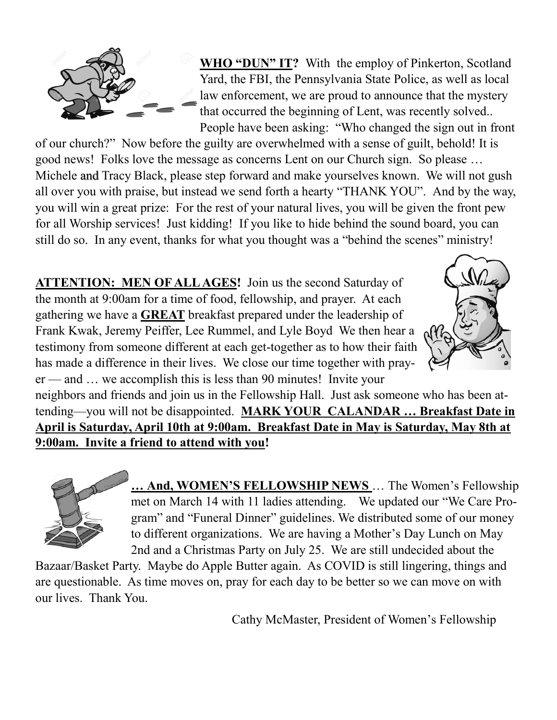

**WHO "DUN" IT?** With the employ of Pinkerton, Scotland Yard, the FBI, the Pennsylvania State Police, as well as local law enforcement, we are proud to announce that the mystery that occurred the beginning of Lent, was recently solved.. People have been asking: "Who changed the sign out in front

of our church?" Now before the guilty are overwhelmed with a sense of guilt, behold! It is good news! Folks love the message as concerns Lent on our Church sign. So please … Michele and Tracy Black, please step forward and make yourselves known. We will not gush all over you with praise, but instead we send forth a hearty "THANK YOU". And by the way, you will win a great prize: For the rest of your natural lives, you will be given the front pew for all Worship services! Just kidding! If you like to hide behind the sound board, you can still do so. In any event, thanks for what you thought was a "behind the scenes" ministry!

**ATTENTION: MEN OF ALL AGES!** Join us the second Saturday of the month at 9:00am for a time of food, fellowship, and prayer. At each gathering we have a **GREAT** breakfast prepared under the leadership of Frank Kwak, Jeremy Peiffer, Lee Rummel, and Lyle Boyd We then hear a testimony from someone different at each get-together as to how their faith has made a difference in their lives. We close our time together with prayer — and … we accomplish this is less than 90 minutes! Invite your



neighbors and friends and join us in the Fellowship Hall. Just ask someone who has been attending—you will not be disappointed. **MARK YOUR CALANDAR … Breakfast Date in April is Saturday, April 10th at 9:00am. Breakfast Date in May is Saturday, May 8th at 9:00am. Invite a friend to attend with you!**



**… And, WOMEN'S FELLOWSHIP NEWS** … The Women's Fellowship met on March 14 with 11 ladies attending. We updated our "We Care Program" and "Funeral Dinner" guidelines. We distributed some of our money to different organizations. We are having a Mother's Day Lunch on May 2nd and a Christmas Party on July 25. We are still undecided about the

Bazaar/Basket Party. Maybe do Apple Butter again. As COVID is still lingering, things and are questionable. As time moves on, pray for each day to be better so we can move on with our lives. Thank You.

Cathy McMaster, President of Women's Fellowship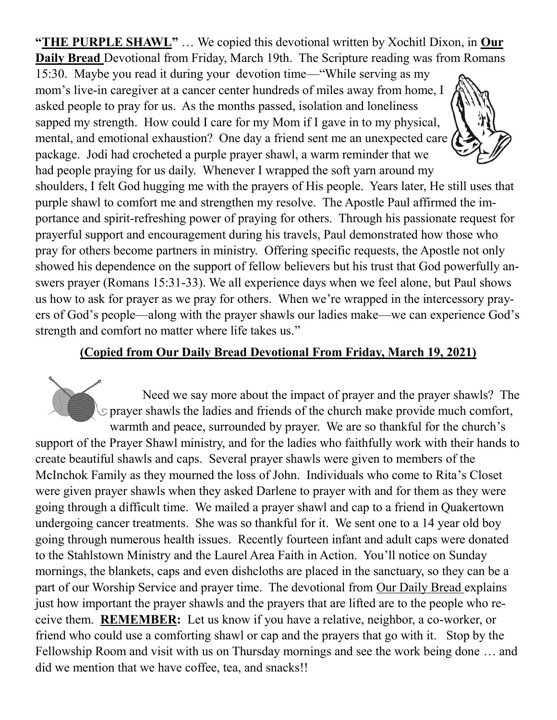**"THE PURPLE SHAWL"** … We copied this devotional written by Xochitl Dixon, in **Our Daily Bread** Devotional from Friday, March 19th. The Scripture reading was from Romans

15:30. Maybe you read it during your devotion time—"While serving as my mom's live-in caregiver at a cancer center hundreds of miles away from home, I asked people to pray for us. As the months passed, isolation and loneliness sapped my strength. How could I care for my Mom if I gave in to my physical, mental, and emotional exhaustion? One day a friend sent me an unexpected care package. Jodi had crocheted a purple prayer shawl, a warm reminder that we had people praying for us daily. Whenever I wrapped the soft yarn around my



shoulders, I felt God hugging me with the prayers of His people. Years later, He still uses that purple shawl to comfort me and strengthen my resolve. The Apostle Paul affirmed the importance and spirit-refreshing power of praying for others. Through his passionate request for prayerful support and encouragement during his travels, Paul demonstrated how those who pray for others become partners in ministry. Offering specific requests, the Apostle not only showed his dependence on the support of fellow believers but his trust that God powerfully answers prayer (Romans 15:31-33). We all experience days when we feel alone, but Paul shows us how to ask for prayer as we pray for others. When we're wrapped in the intercessory prayers of God's people—along with the prayer shawls our ladies make—we can experience God's strength and comfort no matter where life takes us."

#### **(Copied from Our Daily Bread Devotional From Friday, March 19, 2021)**

Need we say more about the impact of prayer and the prayer shawls? The  $\Diamond$  prayer shawls the ladies and friends of the church make provide much comfort, warmth and peace, surrounded by prayer. We are so thankful for the church's support of the Prayer Shawl ministry, and for the ladies who faithfully work with their hands to create beautiful shawls and caps. Several prayer shawls were given to members of the McInchok Family as they mourned the loss of John. Individuals who come to Rita's Closet were given prayer shawls when they asked Darlene to prayer with and for them as they were going through a difficult time. We mailed a prayer shawl and cap to a friend in Quakertown undergoing cancer treatments. She was so thankful for it. We sent one to a 14 year old boy going through numerous health issues. Recently fourteen infant and adult caps were donated to the Stahlstown Ministry and the Laurel Area Faith in Action. You'll notice on Sunday mornings, the blankets, caps and even dishcloths are placed in the sanctuary, so they can be a part of our Worship Service and prayer time. The devotional from Our Daily Bread explains just how important the prayer shawls and the prayers that are lifted are to the people who receive them. **REMEMBER:** Let us know if you have a relative, neighbor, a co-worker, or friend who could use a comforting shawl or cap and the prayers that go with it. Stop by the Fellowship Room and visit with us on Thursday mornings and see the work being done … and did we mention that we have coffee, tea, and snacks!!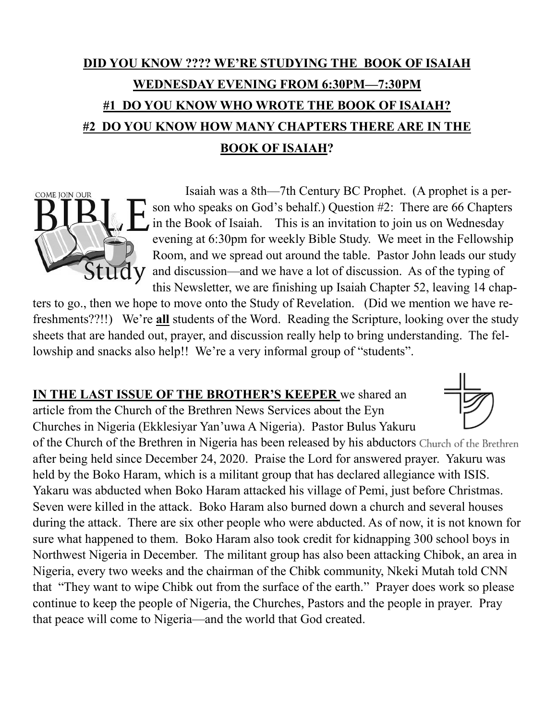# **DID YOU KNOW ???? WE'RE STUDYING THE BOOK OF ISAIAH WEDNESDAY EVENING FROM 6:30PM—7:30PM #1 DO YOU KNOW WHO WROTE THE BOOK OF ISAIAH? #2 DO YOU KNOW HOW MANY CHAPTERS THERE ARE IN THE BOOK OF ISAIAH?**



ters to go., then we hope to move onto the Study of Revelation. (Did we mention we have refreshments??!!) We're **all** students of the Word. Reading the Scripture, looking over the study sheets that are handed out, prayer, and discussion really help to bring understanding. The fellowship and snacks also help!! We're a very informal group of "students".

**IN THE LAST ISSUE OF THE BROTHER'S KEEPER** we shared an

article from the Church of the Brethren News Services about the Eyn

COME JOIN OUR



Churches in Nigeria (Ekklesiyar Yan'uwa A Nigeria). Pastor Bulus Yakuru of the Church of the Brethren in Nigeria has been released by his abductors Church of the Brethren after being held since December 24, 2020. Praise the Lord for answered prayer. Yakuru was held by the Boko Haram, which is a militant group that has declared allegiance with ISIS. Yakaru was abducted when Boko Haram attacked his village of Pemi, just before Christmas. Seven were killed in the attack. Boko Haram also burned down a church and several houses during the attack. There are six other people who were abducted. As of now, it is not known for sure what happened to them. Boko Haram also took credit for kidnapping 300 school boys in Northwest Nigeria in December. The militant group has also been attacking Chibok, an area in Nigeria, every two weeks and the chairman of the Chibk community, Nkeki Mutah told CNN that "They want to wipe Chibk out from the surface of the earth." Prayer does work so please continue to keep the people of Nigeria, the Churches, Pastors and the people in prayer. Pray that peace will come to Nigeria—and the world that God created.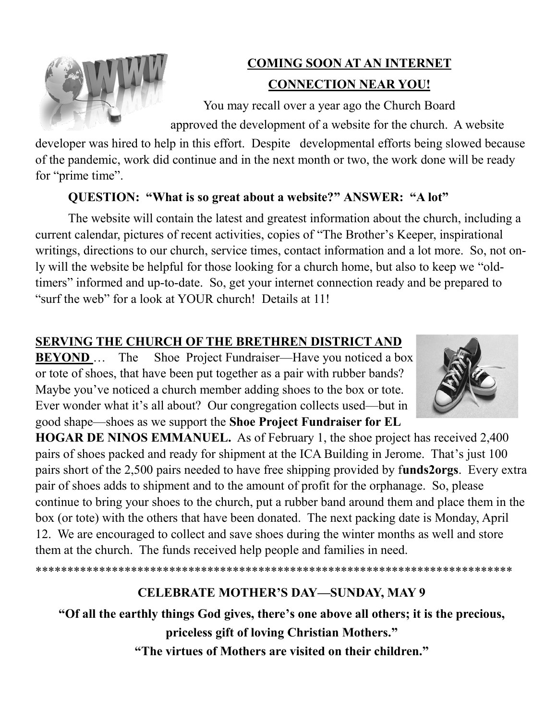

## **COMING SOON AT AN INTERNET CONNECTION NEAR YOU!**

You may recall over a year ago the Church Board approved the development of a website for the church. A website

developer was hired to help in this effort. Despite developmental efforts being slowed because of the pandemic, work did continue and in the next month or two, the work done will be ready for "prime time".

#### **QUESTION: "What is so great about a website?" ANSWER: "A lot"**

The website will contain the latest and greatest information about the church, including a current calendar, pictures of recent activities, copies of "The Brother's Keeper, inspirational writings, directions to our church, service times, contact information and a lot more. So, not only will the website be helpful for those looking for a church home, but also to keep we "oldtimers" informed and up-to-date. So, get your internet connection ready and be prepared to "surf the web" for a look at YOUR church! Details at 11!

### **SERVING THE CHURCH OF THE BRETHREN DISTRICT AND**

**BEYOND** ... The Shoe Project Fundraiser—Have you noticed a box or tote of shoes, that have been put together as a pair with rubber bands? Maybe you've noticed a church member adding shoes to the box or tote. Ever wonder what it's all about? Our congregation collects used—but in good shape—shoes as we support the **Shoe Project Fundraiser for EL** 



**HOGAR DE NINOS EMMANUEL.** As of February 1, the shoe project has received 2,400 pairs of shoes packed and ready for shipment at the ICA Building in Jerome. That's just 100 pairs short of the 2,500 pairs needed to have free shipping provided by f**unds2orgs**. Every extra pair of shoes adds to shipment and to the amount of profit for the orphanage. So, please continue to bring your shoes to the church, put a rubber band around them and place them in the box (or tote) with the others that have been donated. The next packing date is Monday, April 12. We are encouraged to collect and save shoes during the winter months as well and store them at the church. The funds received help people and families in need.

## **CELEBRATE MOTHER'S DAY—SUNDAY, MAY 9**

\*\*\*\*\*\*\*\*\*\*\*\*\*\*\*\*\*\*\*\*\*\*\*\*\*\*\*\*\*\*\*\*\*\*\*\*\*\*\*\*\*\*\*\*\*\*\*\*\*\*\*\*\*\*\*\*\*\*\*\*\*\*\*\*\*\*\*\*\*\*\*\*\*\*\*

**"Of all the earthly things God gives, there's one above all others; it is the precious, priceless gift of loving Christian Mothers."**

**"The virtues of Mothers are visited on their children."**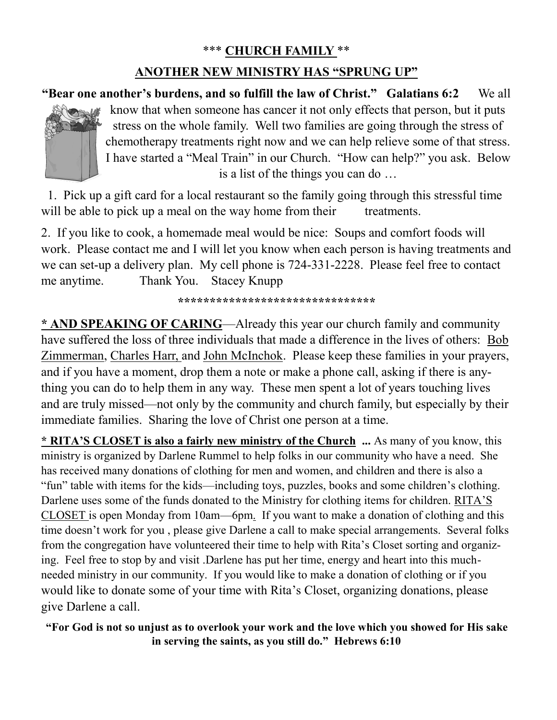#### \*\*\* **CHURCH FAMILY** \*\*

#### **ANOTHER NEW MINISTRY HAS "SPRUNG UP"**

**"Bear one another's burdens, and so fulfill the law of Christ." Galatians 6:2** We all know that when someone has cancer it not only effects that person, but it puts stress on the whole family. Well two families are going through the stress of chemotherapy treatments right now and we can help relieve some of that stress. I have started a "Meal Train" in our Church. "How can help?" you ask. Below is a list of the things you can do …

 1. Pick up a gift card for a local restaurant so the family going through this stressful time will be able to pick up a meal on the way home from their treatments.

2. If you like to cook, a homemade meal would be nice: Soups and comfort foods will work. Please contact me and I will let you know when each person is having treatments and we can set-up a delivery plan. My cell phone is 724-331-2228. Please feel free to contact me anytime. Thank You. Stacey Knupp

**\*\*\*\*\*\*\*\*\*\*\*\*\*\*\*\*\*\*\*\*\*\*\*\*\*\*\*\*\*\*\***

**\* AND SPEAKING OF CARING**—Already this year our church family and community have suffered the loss of three individuals that made a difference in the lives of others: Bob Zimmerman, Charles Harr, and John McInchok. Please keep these families in your prayers, and if you have a moment, drop them a note or make a phone call, asking if there is anything you can do to help them in any way. These men spent a lot of years touching lives and are truly missed—not only by the community and church family, but especially by their immediate families. Sharing the love of Christ one person at a time.

**\* RITA'S CLOSET is also a fairly new ministry of the Church ...** As many of you know, this ministry is organized by Darlene Rummel to help folks in our community who have a need. She has received many donations of clothing for men and women, and children and there is also a "fun" table with items for the kids—including toys, puzzles, books and some children's clothing. Darlene uses some of the funds donated to the Ministry for clothing items for children. RITA'S CLOSET is open Monday from 10am—6pm. If you want to make a donation of clothing and this time doesn't work for you , please give Darlene a call to make special arrangements. Several folks from the congregation have volunteered their time to help with Rita's Closet sorting and organizing. Feel free to stop by and visit .Darlene has put her time, energy and heart into this muchneeded ministry in our community. If you would like to make a donation of clothing or if you would like to donate some of your time with Rita's Closet, organizing donations, please give Darlene a call.

**"For God is not so unjust as to overlook your work and the love which you showed for His sake in serving the saints, as you still do." Hebrews 6:10**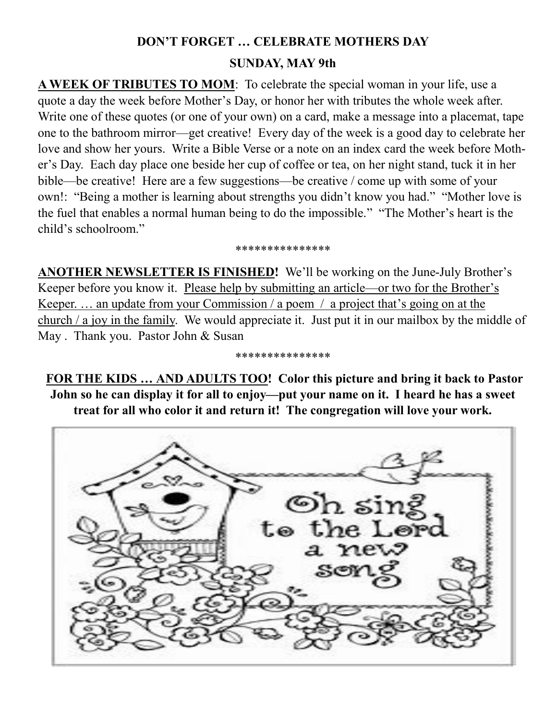# **DON'T FORGET … CELEBRATE MOTHERS DAY SUNDAY, MAY 9th**

A WEEK OF TRIBUTES TO MOM: To celebrate the special woman in your life, use a quote a day the week before Mother's Day, or honor her with tributes the whole week after. Write one of these quotes (or one of your own) on a card, make a message into a placemat, tape one to the bathroom mirror—get creative! Every day of the week is a good day to celebrate her love and show her yours. Write a Bible Verse or a note on an index card the week before Mother's Day. Each day place one beside her cup of coffee or tea, on her night stand, tuck it in her bible—be creative! Here are a few suggestions—be creative / come up with some of your own!: "Being a mother is learning about strengths you didn't know you had." "Mother love is the fuel that enables a normal human being to do the impossible." "The Mother's heart is the child's schoolroom."

#### \*\*\*\*\*\*\*\*\*\*\*\*\*\*\*

**ANOTHER NEWSLETTER IS FINISHED!** We'll be working on the June-July Brother's Keeper before you know it. Please help by submitting an article—or two for the Brother's Keeper. … an update from your Commission / a poem / a project that's going on at the church / a joy in the family. We would appreciate it. Just put it in our mailbox by the middle of May . Thank you. Pastor John & Susan

\*\*\*\*\*\*\*\*\*\*\*\*\*\*\*

**FOR THE KIDS … AND ADULTS TOO! Color this picture and bring it back to Pastor John so he can display it for all to enjoy—put your name on it. I heard he has a sweet treat for all who color it and return it! The congregation will love your work.**